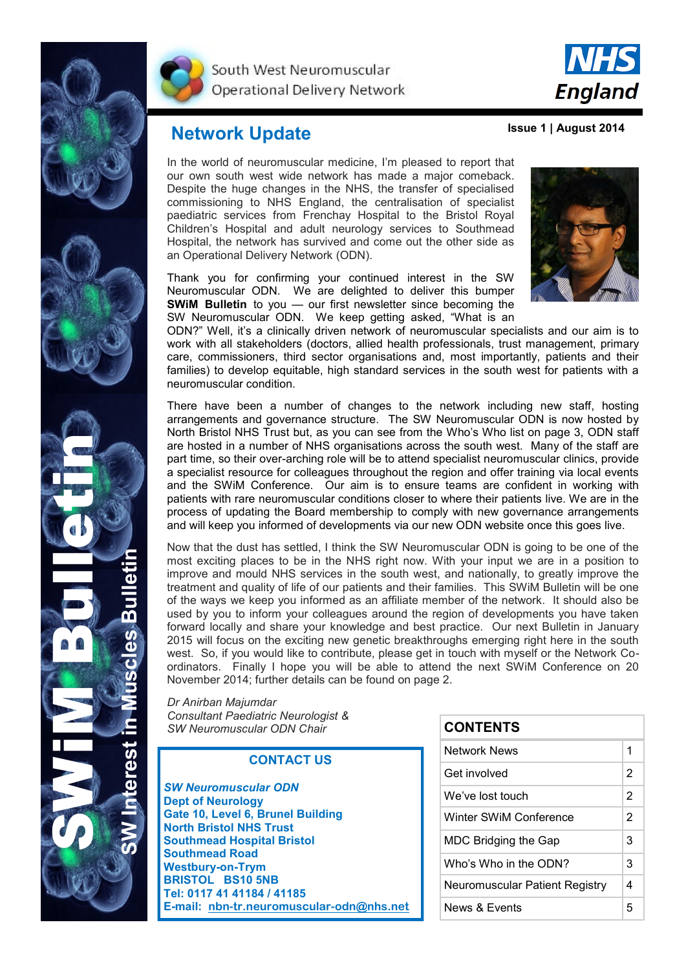



South West Neuromuscular Operational Delivery Network



**Issue 1 | August 2014**

## **Network Update**

In the world of neuromuscular medicine, I'm pleased to report that our own south west wide network has made a major comeback. Despite the huge changes in the NHS, the transfer of specialised commissioning to NHS England, the centralisation of specialist paediatric services from Frenchay Hospital to the Bristol Royal Children's Hospital and adult neurology services to Southmead Hospital, the network has survived and come out the other side as an Operational Delivery Network (ODN).

Thank you for confirming your continued interest in the SW Neuromuscular ODN. We are delighted to deliver this bumper **SWiM Bulletin** to you — our first newsletter since becoming the SW Neuromuscular ODN. We keep getting asked, "What is an



ODN?" Well, it's a clinically driven network of neuromuscular specialists and our aim is to work with all stakeholders (doctors, allied health professionals, trust management, primary care, commissioners, third sector organisations and, most importantly, patients and their families) to develop equitable, high standard services in the south west for patients with a neuromuscular condition.

There have been a number of changes to the network including new staff, hosting arrangements and governance structure. The SW Neuromuscular ODN is now hosted by North Bristol NHS Trust but, as you can see from the Who's Who list on page 3, ODN staff are hosted in a number of NHS organisations across the south west. Many of the staff are part time, so their over-arching role will be to attend specialist neuromuscular clinics, provide a specialist resource for colleagues throughout the region and offer training via local events and the SWiM Conference. Our aim is to ensure teams are confident in working with patients with rare neuromuscular conditions closer to where their patients live. We are in the process of updating the Board membership to comply with new governance arrangements and will keep you informed of developments via our new ODN website once this goes live.

Now that the dust has settled, I think the SW Neuromuscular ODN is going to be one of the most exciting places to be in the NHS right now. With your input we are in a position to improve and mould NHS services in the south west, and nationally, to greatly improve the treatment and quality of life of our patients and their families. This SWiM Bulletin will be one of the ways we keep you informed as an affiliate member of the network. It should also be used by you to inform your colleagues around the region of developments you have taken forward locally and share your knowledge and best practice. Our next Bulletin in January 2015 will focus on the exciting new genetic breakthroughs emerging right here in the south west. So, if you would like to contribute, please get in touch with myself or the Network Coordinators. Finally I hope you will be able to attend the next SWiM Conference on 20 November 2014; further details can be found on page 2.

*Dr Anirban Majumdar Consultant Paediatric Neurologist & SW Neuromuscular ODN Chair* 

#### **CONTACT US**

*SW Neuromuscular ODN* **Dept of Neurology Gate 10, Level 6, Brunel Building North Bristol NHS Trust Southmead Hospital Bristol Southmead Road Westbury-on-Trym BRISTOL BS10 5NB Tel: 0117 41 41184 / 41185 E-mail: [nbn-tr.neuromuscular-odn@nhs.net](mailto:nbn-tr.neuromuscular-odn@nhs.net)**

| <b>CONTENTS</b>                |   |
|--------------------------------|---|
| Network News                   | 1 |
| Get involved                   | 2 |
| We've lost touch               | 2 |
| Winter SWiM Conference         | 2 |
| MDC Bridging the Gap           | 3 |
| Who's Who in the ODN?          | 3 |
| Neuromuscular Patient Registry | 4 |
| News & Events                  | 5 |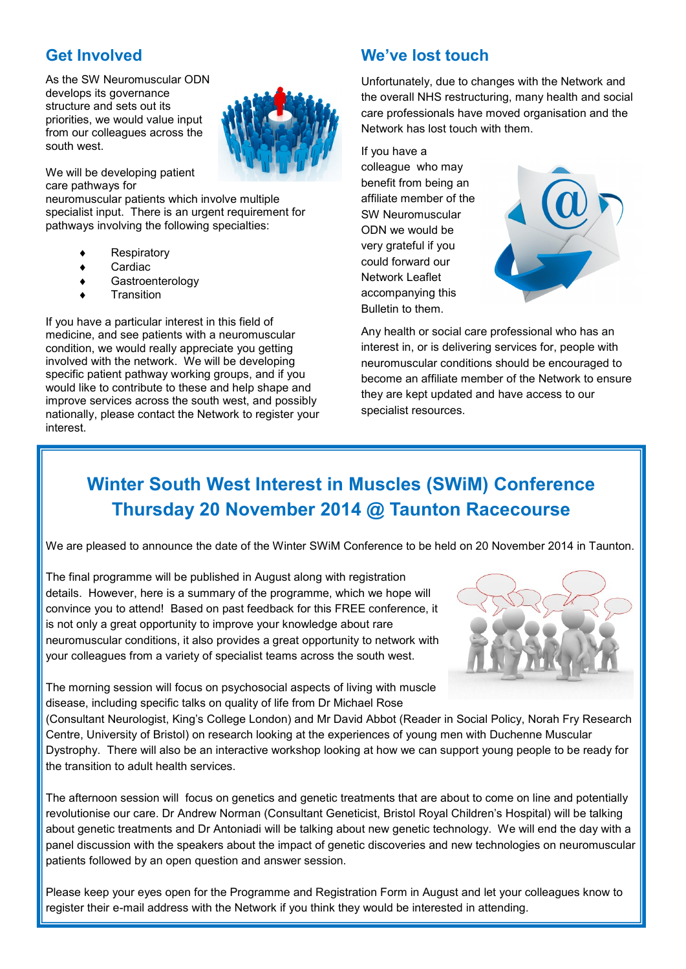### **Get Involved**

As the SW Neuromuscular ODN develops its governance structure and sets out its priorities, we would value input from our colleagues across the south west.



We will be developing patient care pathways for

neuromuscular patients which involve multiple specialist input. There is an urgent requirement for pathways involving the following specialties:

- Respiratory
- Cardiac
- **Gastroenterology**
- **Transition**

If you have a particular interest in this field of medicine, and see patients with a neuromuscular condition, we would really appreciate you getting involved with the network. We will be developing specific patient pathway working groups, and if you would like to contribute to these and help shape and improve services across the south west, and possibly nationally, please contact the Network to register your interest.

## **We've lost touch**

Unfortunately, due to changes with the Network and the overall NHS restructuring, many health and social care professionals have moved organisation and the Network has lost touch with them.

If you have a colleague who may benefit from being an affiliate member of the SW Neuromuscular ODN we would be very grateful if you could forward our Network Leaflet accompanying this Bulletin to them.



Any health or social care professional who has an interest in, or is delivering services for, people with neuromuscular conditions should be encouraged to become an affiliate member of the Network to ensure they are kept updated and have access to our specialist resources.

# **Winter South West Interest in Muscles (SWiM) Conference Thursday 20 November 2014 @ Taunton Racecourse**

We are pleased to announce the date of the Winter SWiM Conference to be held on 20 November 2014 in Taunton.

The final programme will be published in August along with registration details. However, here is a summary of the programme, which we hope will convince you to attend! Based on past feedback for this FREE conference, it is not only a great opportunity to improve your knowledge about rare neuromuscular conditions, it also provides a great opportunity to network with your colleagues from a variety of specialist teams across the south west.



The morning session will focus on psychosocial aspects of living with muscle disease, including specific talks on quality of life from Dr Michael Rose

(Consultant Neurologist, King's College London) and Mr David Abbot (Reader in Social Policy, Norah Fry Research Centre, University of Bristol) on research looking at the experiences of young men with Duchenne Muscular Dystrophy. There will also be an interactive workshop looking at how we can support young people to be ready for the transition to adult health services.

The afternoon session will focus on genetics and genetic treatments that are about to come on line and potentially revolutionise our care. Dr Andrew Norman (Consultant Geneticist, Bristol Royal Children's Hospital) will be talking about genetic treatments and Dr Antoniadi will be talking about new genetic technology. We will end the day with a panel discussion with the speakers about the impact of genetic discoveries and new technologies on neuromuscular patients followed by an open question and answer session.

Please keep your eyes open for the Programme and Registration Form in August and let your colleagues know to register their e-mail address with the Network if you think they would be interested in attending.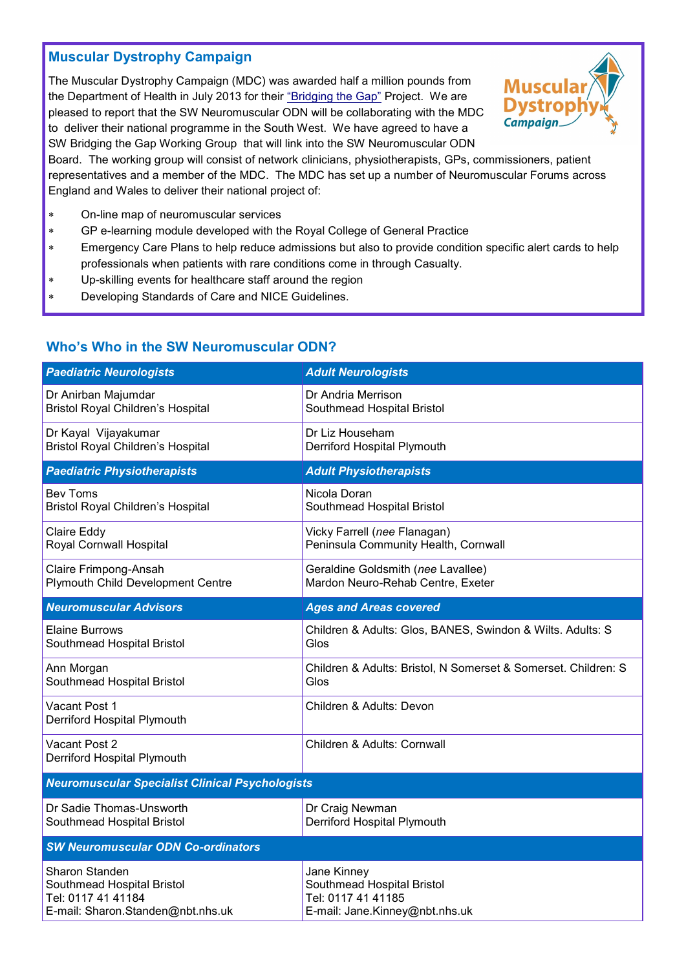### **Muscular Dystrophy Campaign**

The Muscular Dystrophy Campaign (MDC) was awarded half a million pounds from the Department of Health in July 2013 for their ["Bridging the Gap"](http://www.muscular-dystrophy.org/get_involved/campaigns/campaign_news/6463_bridging_the_gap_department_of_health_to_fund_new_neuromuscular_project) Project. We are pleased to report that the SW Neuromuscular ODN will be collaborating with the MDC to deliver their national programme in the South West. We have agreed to have a SW Bridging the Gap Working Group that will link into the SW Neuromuscular ODN



Board. The working group will consist of network clinicians, physiotherapists, GPs, commissioners, patient representatives and a member of the MDC. The MDC has set up a number of Neuromuscular Forums across England and Wales to deliver their national project of:

- On-line map of neuromuscular services
- GP e-learning module developed with the Royal College of General Practice
- Emergency Care Plans to help reduce admissions but also to provide condition specific alert cards to help professionals when patients with rare conditions come in through Casualty.
- Up-skilling events for healthcare staff around the region
- Developing Standards of Care and NICE Guidelines.

#### *Paediatric Neurologists Adult Neurologists* Dr Anirban Majumdar Bristol Royal Children's Hospital Dr Andria Merrison Southmead Hospital Bristol Dr Kayal Vijayakumar Bristol Royal Children's Hospital Dr Liz Househam Derriford Hospital Plymouth *Paediatric Physiotherapists Adult Physiotherapists* Bev Toms Bristol Royal Children's Hospital Nicola Doran Southmead Hospital Bristol Claire Eddy Royal Cornwall Hospital Vicky Farrell (*nee* Flanagan) Peninsula Community Health, Cornwall Claire Frimpong-Ansah Plymouth Child Development Centre Geraldine Goldsmith (*nee* Lavallee) Mardon Neuro-Rehab Centre, Exeter *Neuromuscular Advisors Ages and Areas covered* Elaine Burrows Southmead Hospital Bristol Children & Adults: Glos, BANES, Swindon & Wilts. Adults: S Glos Ann Morgan Southmead Hospital Bristol Children & Adults: Bristol, N Somerset & Somerset. Children: S Glos Vacant Post 1 Derriford Hospital Plymouth Children & Adults: Devon Vacant Post 2 Derriford Hospital Plymouth Children & Adults: Cornwall *Neuromuscular Specialist Clinical Psychologists*  Dr Sadie Thomas-Unsworth Southmead Hospital Bristol Dr Craig Newman Derriford Hospital Plymouth *SW Neuromuscular ODN Co-ordinators*  Sharon Standen Southmead Hospital Bristol Tel: 0117 41 41184 E-mail: Sharon.Standen@nbt.nhs.uk Jane Kinney Southmead Hospital Bristol Tel: 0117 41 41185 E-mail: Jane.Kinney@nbt.nhs.uk

### **Who's Who in the SW Neuromuscular ODN?**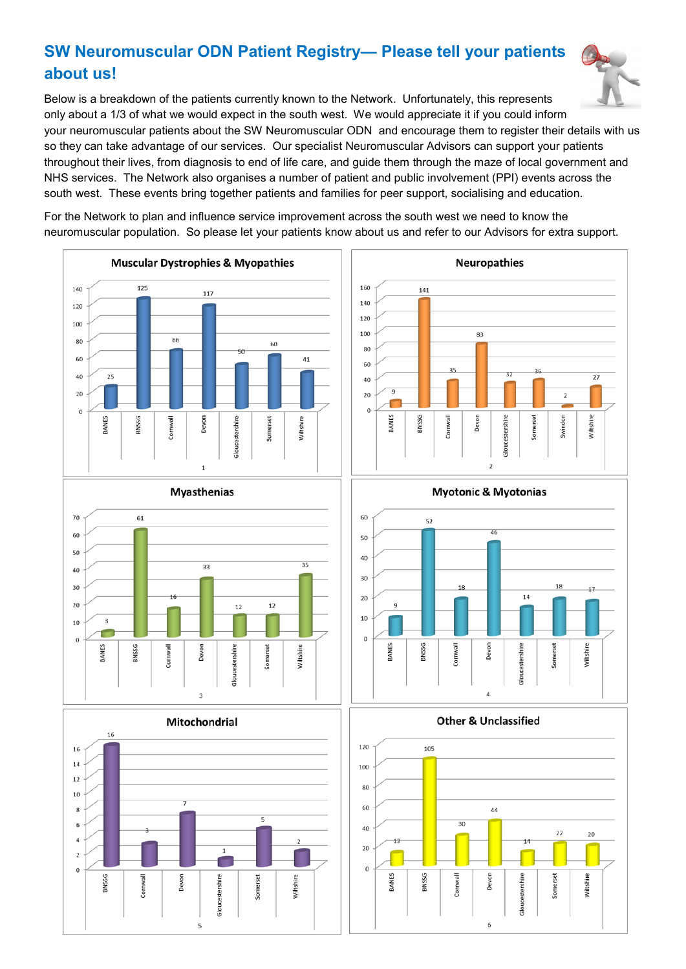## **SW Neuromuscular ODN Patient Registry— Please tell your patients about us!**

Below is a breakdown of the patients currently known to the Network. Unfortunately, this represents only about a 1/3 of what we would expect in the south west. We would appreciate it if you could inform your neuromuscular patients about the SW Neuromuscular ODN and encourage them to register their details with us so they can take advantage of our services. Our specialist Neuromuscular Advisors can support your patients throughout their lives, from diagnosis to end of life care, and guide them through the maze of local government and NHS services. The Network also organises a number of patient and public involvement (PPI) events across the south west. These events bring together patients and families for peer support, socialising and education.

For the Network to plan and influence service improvement across the south west we need to know the neuromuscular population. So please let your patients know about us and refer to our Advisors for extra support.